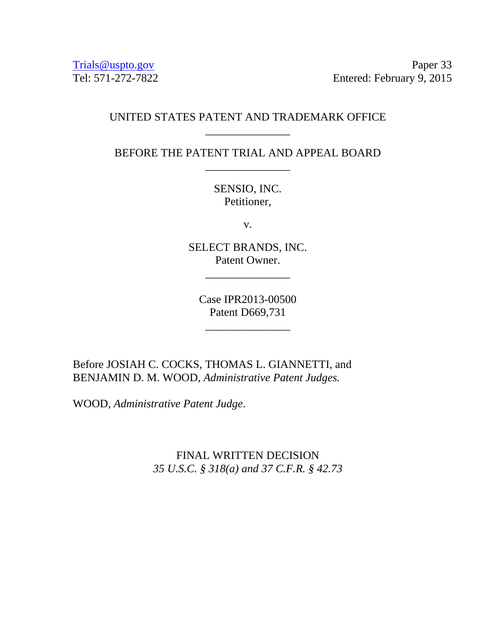Trials @uspto.gov Paper 33 Tel: 571-272-7822 Entered: February 9, 2015

# UNITED STATES PATENT AND TRADEMARK OFFICE \_\_\_\_\_\_\_\_\_\_\_\_\_\_\_

BEFORE THE PATENT TRIAL AND APPEAL BOARD \_\_\_\_\_\_\_\_\_\_\_\_\_\_\_

> SENSIO, INC. Petitioner,

> > v.

SELECT BRANDS, INC. Patent Owner.

\_\_\_\_\_\_\_\_\_\_\_\_\_\_\_

Case IPR2013-00500 Patent D669,731

\_\_\_\_\_\_\_\_\_\_\_\_\_\_\_

Before JOSIAH C. COCKS, THOMAS L. GIANNETTI, and BENJAMIN D. M. WOOD, *Administrative Patent Judges.* 

WOOD, *Administrative Patent Judge*.

FINAL WRITTEN DECISION *35 U.S.C. § 318(a) and 37 C.F.R. § 42.73*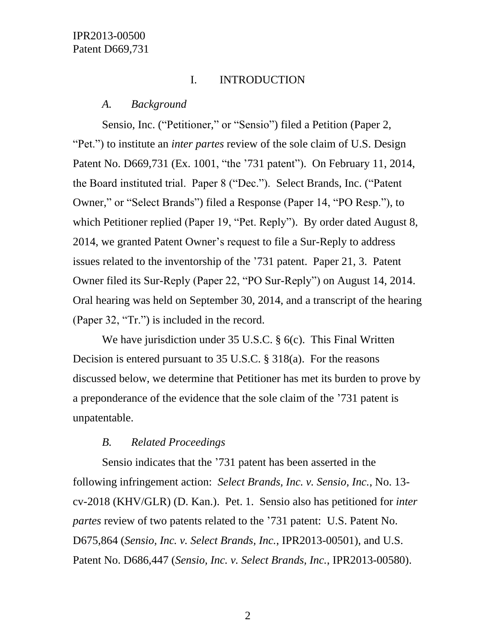# I. INTRODUCTION

### *A. Background*

Sensio, Inc. ("Petitioner," or "Sensio") filed a Petition (Paper 2, "Pet.") to institute an *inter partes* review of the sole claim of U.S. Design Patent No. D669,731 (Ex. 1001, "the '731 patent"). On February 11, 2014, the Board instituted trial. Paper 8 ("Dec."). Select Brands, Inc. ("Patent Owner," or "Select Brands") filed a Response (Paper 14, "PO Resp."), to which Petitioner replied (Paper 19, "Pet. Reply"). By order dated August 8, 2014, we granted Patent Owner's request to file a Sur-Reply to address issues related to the inventorship of the '731 patent. Paper 21, 3. Patent Owner filed its Sur-Reply (Paper 22, "PO Sur-Reply") on August 14, 2014. Oral hearing was held on September 30, 2014, and a transcript of the hearing (Paper 32, "Tr.") is included in the record.

We have jurisdiction under 35 U.S.C. § 6(c). This Final Written Decision is entered pursuant to 35 U.S.C. § 318(a). For the reasons discussed below, we determine that Petitioner has met its burden to prove by a preponderance of the evidence that the sole claim of the '731 patent is unpatentable.

# *B. Related Proceedings*

Sensio indicates that the '731 patent has been asserted in the following infringement action: *Select Brands, Inc. v. Sensio, Inc.*, No. 13 cv-2018 (KHV/GLR) (D. Kan.). Pet. 1. Sensio also has petitioned for *inter partes* review of two patents related to the '731 patent: U.S. Patent No. D675,864 (*Sensio, Inc. v. Select Brands, Inc.*, IPR2013-00501), and U.S. Patent No. D686,447 (*Sensio, Inc. v. Select Brands, Inc.*, IPR2013-00580).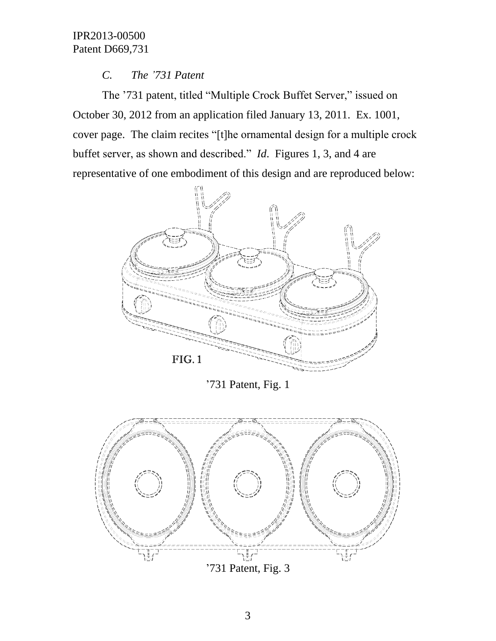# *C. The '731 Patent*

The '731 patent, titled "Multiple Crock Buffet Server," issued on October 30, 2012 from an application filed January 13, 2011. Ex. 1001, cover page. The claim recites "[t]he ornamental design for a multiple crock buffet server, as shown and described." *Id*. Figures 1, 3, and 4 are representative of one embodiment of this design and are reproduced below:



'731 Patent, Fig. 1



'731 Patent, Fig. 3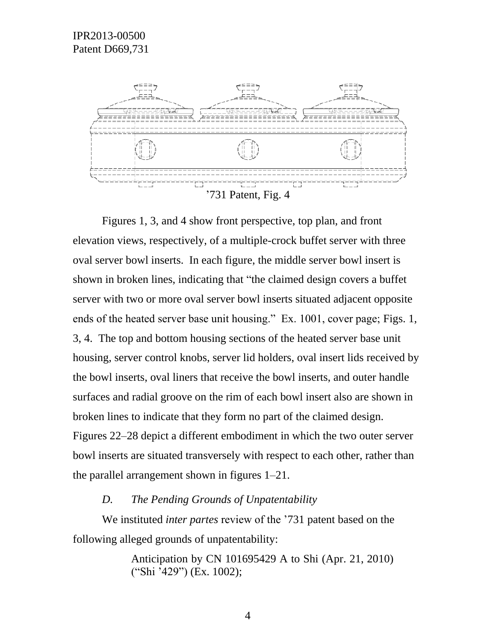

'731 Patent, Fig. 4

Figures 1, 3, and 4 show front perspective, top plan, and front elevation views, respectively, of a multiple-crock buffet server with three oval server bowl inserts. In each figure, the middle server bowl insert is shown in broken lines, indicating that "the claimed design covers a buffet server with two or more oval server bowl inserts situated adjacent opposite ends of the heated server base unit housing." Ex. 1001, cover page; Figs. 1, 3, 4. The top and bottom housing sections of the heated server base unit housing, server control knobs, server lid holders, oval insert lids received by the bowl inserts, oval liners that receive the bowl inserts, and outer handle surfaces and radial groove on the rim of each bowl insert also are shown in broken lines to indicate that they form no part of the claimed design. Figures 22–28 depict a different embodiment in which the two outer server bowl inserts are situated transversely with respect to each other, rather than the parallel arrangement shown in figures 1–21.

#### *D. The Pending Grounds of Unpatentability*

We instituted *inter partes* review of the '731 patent based on the following alleged grounds of unpatentability:

> Anticipation by CN 101695429 A to Shi (Apr. 21, 2010) ("Shi '429") (Ex. 1002);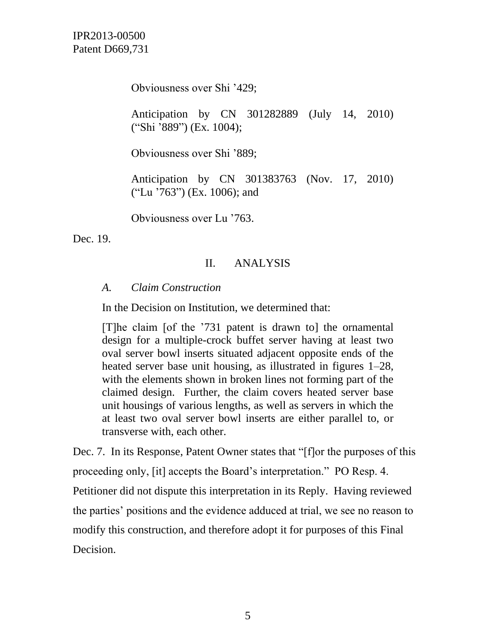Obviousness over Shi '429;

Anticipation by CN 301282889 (July 14, 2010) ("Shi '889") (Ex. 1004);

Obviousness over Shi '889;

Anticipation by CN 301383763 (Nov. 17, 2010) ("Lu '763") (Ex. 1006); and

Obviousness over Lu '763.

Dec. 19.

# II. ANALYSIS

### *A. Claim Construction*

In the Decision on Institution, we determined that:

[T]he claim [of the '731 patent is drawn to] the ornamental design for a multiple-crock buffet server having at least two oval server bowl inserts situated adjacent opposite ends of the heated server base unit housing, as illustrated in figures 1–28, with the elements shown in broken lines not forming part of the claimed design. Further, the claim covers heated server base unit housings of various lengths, as well as servers in which the at least two oval server bowl inserts are either parallel to, or transverse with, each other.

Dec. 7. In its Response, Patent Owner states that "[f]or the purposes of this proceeding only, [it] accepts the Board's interpretation." PO Resp. 4. Petitioner did not dispute this interpretation in its Reply. Having reviewed the parties' positions and the evidence adduced at trial, we see no reason to modify this construction, and therefore adopt it for purposes of this Final Decision.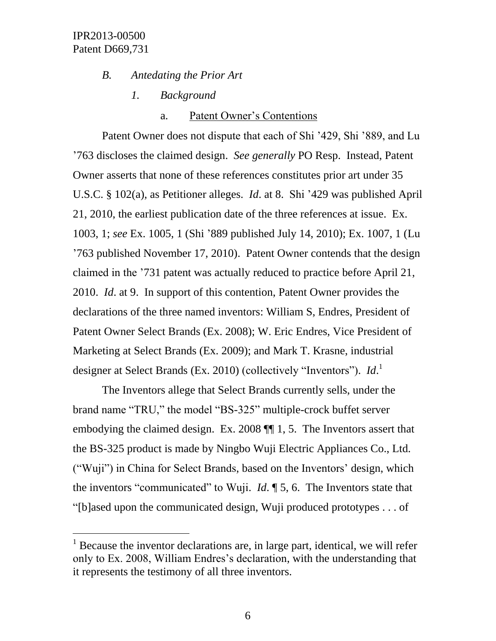l

### *B. Antedating the Prior Art*

*1. Background*

#### a. Patent Owner's Contentions

Patent Owner does not dispute that each of Shi '429, Shi '889, and Lu '763 discloses the claimed design. *See generally* PO Resp. Instead, Patent Owner asserts that none of these references constitutes prior art under 35 U.S.C. § 102(a), as Petitioner alleges. *Id*. at 8. Shi '429 was published April 21, 2010, the earliest publication date of the three references at issue. Ex. 1003, 1; *see* Ex. 1005, 1 (Shi '889 published July 14, 2010); Ex. 1007, 1 (Lu '763 published November 17, 2010). Patent Owner contends that the design claimed in the '731 patent was actually reduced to practice before April 21, 2010. *Id*. at 9. In support of this contention, Patent Owner provides the declarations of the three named inventors: William S, Endres, President of Patent Owner Select Brands (Ex. 2008); W. Eric Endres, Vice President of Marketing at Select Brands (Ex. 2009); and Mark T. Krasne, industrial designer at Select Brands (Ex. 2010) (collectively "Inventors"). *Id*. 1

The Inventors allege that Select Brands currently sells, under the brand name "TRU," the model "BS-325" multiple-crock buffet server embodying the claimed design. Ex. 2008 ¶¶ 1, 5. The Inventors assert that the BS-325 product is made by Ningbo Wuji Electric Appliances Co., Ltd. ("Wuji") in China for Select Brands, based on the Inventors' design, which the inventors "communicated" to Wuji. *Id*. ¶ 5, 6. The Inventors state that "[b]ased upon the communicated design, Wuji produced prototypes . . . of

 $1$  Because the inventor declarations are, in large part, identical, we will refer only to Ex. 2008, William Endres's declaration, with the understanding that it represents the testimony of all three inventors.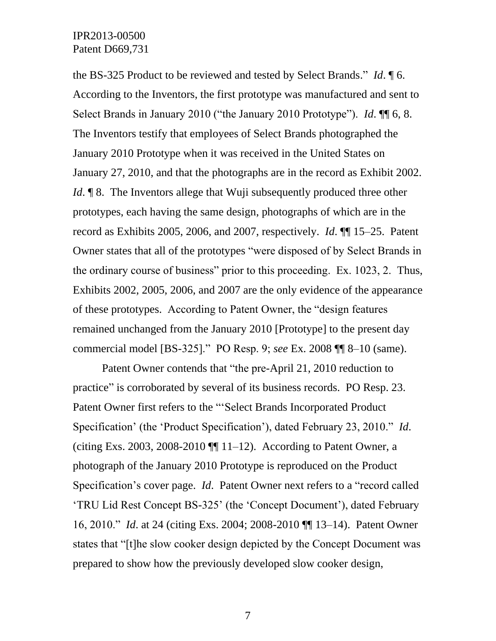the BS-325 Product to be reviewed and tested by Select Brands." *Id*. ¶ 6. According to the Inventors, the first prototype was manufactured and sent to Select Brands in January 2010 ("the January 2010 Prototype"). *Id*. ¶¶ 6, 8. The Inventors testify that employees of Select Brands photographed the January 2010 Prototype when it was received in the United States on January 27, 2010, and that the photographs are in the record as Exhibit 2002. *Id*. **¶** 8. The Inventors allege that Wuji subsequently produced three other prototypes, each having the same design, photographs of which are in the record as Exhibits 2005, 2006, and 2007, respectively. *Id*. ¶¶ 15–25. Patent Owner states that all of the prototypes "were disposed of by Select Brands in the ordinary course of business" prior to this proceeding. Ex. 1023, 2. Thus, Exhibits 2002, 2005, 2006, and 2007 are the only evidence of the appearance of these prototypes. According to Patent Owner, the "design features remained unchanged from the January 2010 [Prototype] to the present day commercial model [BS-325]." PO Resp. 9; *see* Ex. 2008 ¶¶ 8–10 (same).

Patent Owner contends that "the pre-April 21, 2010 reduction to practice" is corroborated by several of its business records. PO Resp. 23. Patent Owner first refers to the "'Select Brands Incorporated Product Specification' (the 'Product Specification'), dated February 23, 2010." *Id*. (citing Exs. 2003, 2008-2010  $\P\P$  11–12). According to Patent Owner, a photograph of the January 2010 Prototype is reproduced on the Product Specification's cover page. *Id*. Patent Owner next refers to a "record called 'TRU Lid Rest Concept BS-325' (the 'Concept Document'), dated February 16, 2010." *Id*. at 24 (citing Exs. 2004; 2008-2010 ¶¶ 13–14). Patent Owner states that "[t]he slow cooker design depicted by the Concept Document was prepared to show how the previously developed slow cooker design,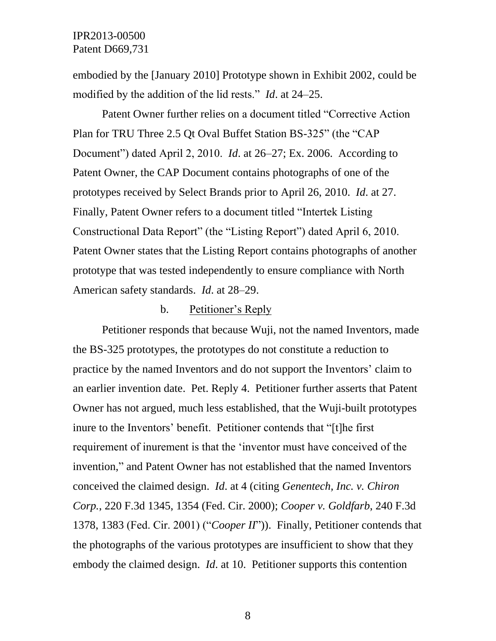embodied by the [January 2010] Prototype shown in Exhibit 2002, could be modified by the addition of the lid rests." *Id*. at 24–25.

Patent Owner further relies on a document titled "Corrective Action Plan for TRU Three 2.5 Qt Oval Buffet Station BS-325" (the "CAP Document") dated April 2, 2010. *Id*. at 26–27; Ex. 2006. According to Patent Owner, the CAP Document contains photographs of one of the prototypes received by Select Brands prior to April 26, 2010. *Id*. at 27. Finally, Patent Owner refers to a document titled "Intertek Listing Constructional Data Report" (the "Listing Report") dated April 6, 2010. Patent Owner states that the Listing Report contains photographs of another prototype that was tested independently to ensure compliance with North American safety standards. *Id*. at 28–29.

#### b. Petitioner's Reply

Petitioner responds that because Wuji, not the named Inventors, made the BS-325 prototypes, the prototypes do not constitute a reduction to practice by the named Inventors and do not support the Inventors' claim to an earlier invention date. Pet. Reply 4. Petitioner further asserts that Patent Owner has not argued, much less established, that the Wuji-built prototypes inure to the Inventors' benefit. Petitioner contends that "[t]he first requirement of inurement is that the 'inventor must have conceived of the invention," and Patent Owner has not established that the named Inventors conceived the claimed design. *Id*. at 4 (citing *Genentech, Inc. v. Chiron Corp.*, 220 F.3d 1345, 1354 (Fed. Cir. 2000); *Cooper v. Goldfarb*, 240 F.3d 1378, 1383 (Fed. Cir. 2001) ("*Cooper II*")). Finally, Petitioner contends that the photographs of the various prototypes are insufficient to show that they embody the claimed design. *Id*. at 10. Petitioner supports this contention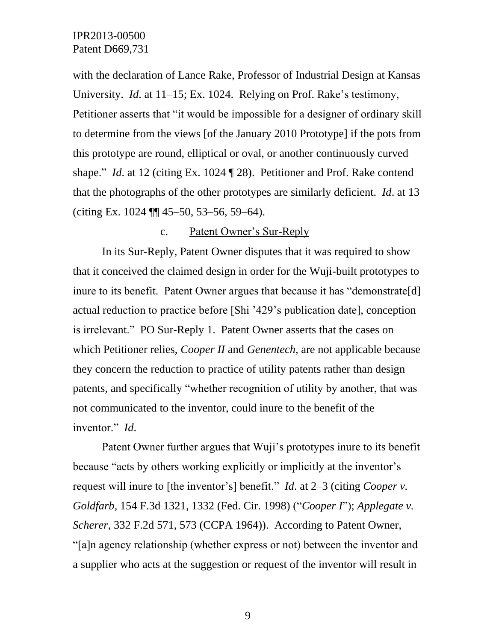with the declaration of Lance Rake, Professor of Industrial Design at Kansas University. *Id*. at 11–15; Ex. 1024. Relying on Prof. Rake's testimony, Petitioner asserts that "it would be impossible for a designer of ordinary skill to determine from the views [of the January 2010 Prototype] if the pots from this prototype are round, elliptical or oval, or another continuously curved shape." *Id*. at 12 (citing Ex. 1024 ¶ 28). Petitioner and Prof. Rake contend that the photographs of the other prototypes are similarly deficient. *Id*. at 13 (citing Ex. 1024 ¶¶ 45–50, 53–56, 59–64).

#### c. Patent Owner's Sur-Reply

In its Sur-Reply, Patent Owner disputes that it was required to show that it conceived the claimed design in order for the Wuji-built prototypes to inure to its benefit. Patent Owner argues that because it has "demonstrate[d] actual reduction to practice before [Shi '429's publication date], conception is irrelevant." PO Sur-Reply 1. Patent Owner asserts that the cases on which Petitioner relies, *Cooper II* and *Genentech*, are not applicable because they concern the reduction to practice of utility patents rather than design patents, and specifically "whether recognition of utility by another, that was not communicated to the inventor, could inure to the benefit of the inventor." *Id*.

Patent Owner further argues that Wuji's prototypes inure to its benefit because "acts by others working explicitly or implicitly at the inventor's request will inure to [the inventor's] benefit." *Id*. at 2–3 (citing *Cooper v. Goldfarb*, 154 F.3d 1321, 1332 (Fed. Cir. 1998) ("*Cooper I*"); *Applegate v. Scherer*, 332 F.2d 571, 573 (CCPA 1964)). According to Patent Owner, "[a]n agency relationship (whether express or not) between the inventor and a supplier who acts at the suggestion or request of the inventor will result in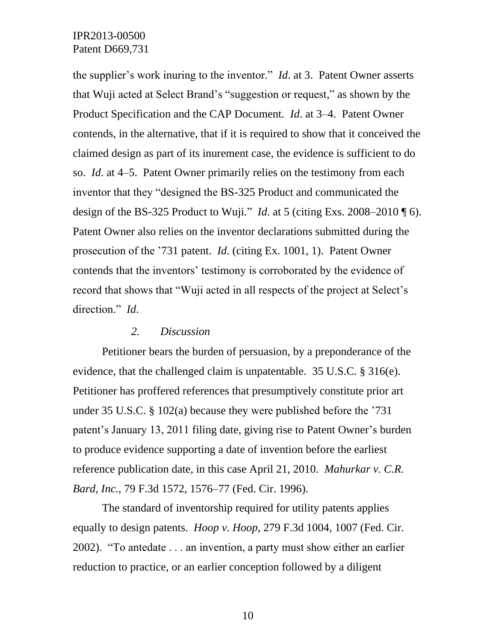the supplier's work inuring to the inventor." *Id*. at 3. Patent Owner asserts that Wuji acted at Select Brand's "suggestion or request," as shown by the Product Specification and the CAP Document. *Id*. at 3–4. Patent Owner contends, in the alternative, that if it is required to show that it conceived the claimed design as part of its inurement case, the evidence is sufficient to do so. *Id*. at 4–5. Patent Owner primarily relies on the testimony from each inventor that they "designed the BS-325 Product and communicated the design of the BS-325 Product to Wuji." *Id.* at 5 (citing Exs. 2008–2010  $\P$  6). Patent Owner also relies on the inventor declarations submitted during the prosecution of the '731 patent. *Id*. (citing Ex. 1001, 1). Patent Owner contends that the inventors' testimony is corroborated by the evidence of record that shows that "Wuji acted in all respects of the project at Select's direction." *Id*.

### *2. Discussion*

Petitioner bears the burden of persuasion, by a preponderance of the evidence, that the challenged claim is unpatentable. 35 U.S.C. § 316(e). Petitioner has proffered references that presumptively constitute prior art under 35 U.S.C. § 102(a) because they were published before the '731 patent's January 13, 2011 filing date, giving rise to Patent Owner's burden to produce evidence supporting a date of invention before the earliest reference publication date, in this case April 21, 2010. *Mahurkar v. C.R. Bard, Inc.*, 79 F.3d 1572, 1576–77 (Fed. Cir. 1996).

The standard of inventorship required for utility patents applies equally to design patents. *Hoop v. Hoop*, 279 F.3d 1004, 1007 (Fed. Cir. 2002). "To antedate . . . an invention, a party must show either an earlier reduction to practice, or an earlier conception followed by a diligent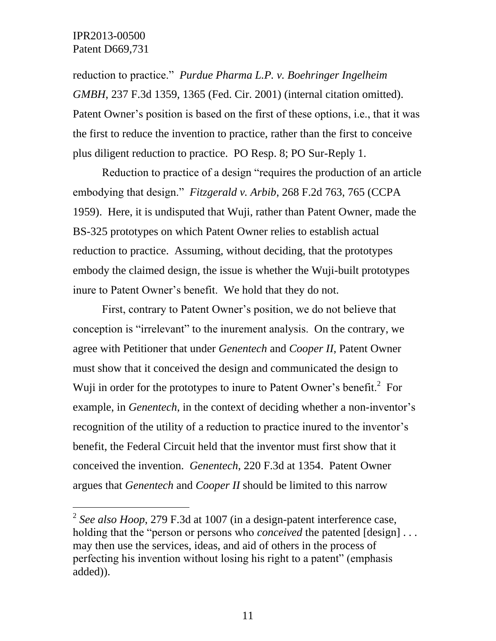l

reduction to practice." *Purdue Pharma L.P. v. Boehringer Ingelheim GMBH*, 237 F.3d 1359, 1365 (Fed. Cir. 2001) (internal citation omitted). Patent Owner's position is based on the first of these options, i.e., that it was the first to reduce the invention to practice, rather than the first to conceive plus diligent reduction to practice. PO Resp. 8; PO Sur-Reply 1.

Reduction to practice of a design "requires the production of an article embodying that design." *Fitzgerald v. Arbib*, 268 F.2d 763, 765 (CCPA 1959). Here, it is undisputed that Wuji, rather than Patent Owner, made the BS-325 prototypes on which Patent Owner relies to establish actual reduction to practice. Assuming, without deciding, that the prototypes embody the claimed design, the issue is whether the Wuji-built prototypes inure to Patent Owner's benefit. We hold that they do not.

First, contrary to Patent Owner's position, we do not believe that conception is "irrelevant" to the inurement analysis. On the contrary, we agree with Petitioner that under *Genentech* and *Cooper II*, Patent Owner must show that it conceived the design and communicated the design to Wuji in order for the prototypes to inure to Patent Owner's benefit. $2$  For example, in *Genentech*, in the context of deciding whether a non-inventor's recognition of the utility of a reduction to practice inured to the inventor's benefit, the Federal Circuit held that the inventor must first show that it conceived the invention. *Genentech*, 220 F.3d at 1354. Patent Owner argues that *Genentech* and *Cooper II* should be limited to this narrow

<sup>2</sup> *See also Hoop*, 279 F.3d at 1007 (in a design-patent interference case, holding that the "person or persons who *conceived* the patented [design] ... may then use the services, ideas, and aid of others in the process of perfecting his invention without losing his right to a patent" (emphasis added)).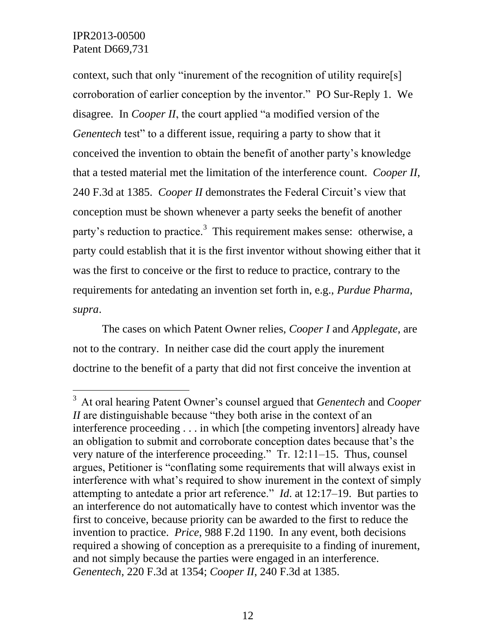$\overline{a}$ 

context, such that only "inurement of the recognition of utility require[s] corroboration of earlier conception by the inventor." PO Sur-Reply 1. We disagree. In *Cooper II*, the court applied "a modified version of the *Genentech* test" to a different issue, requiring a party to show that it conceived the invention to obtain the benefit of another party's knowledge that a tested material met the limitation of the interference count. *Cooper II*, 240 F.3d at 1385. *Cooper II* demonstrates the Federal Circuit's view that conception must be shown whenever a party seeks the benefit of another party's reduction to practice.<sup>3</sup> This requirement makes sense: otherwise, a party could establish that it is the first inventor without showing either that it was the first to conceive or the first to reduce to practice, contrary to the requirements for antedating an invention set forth in, e.g., *Purdue Pharma*, *supra*.

The cases on which Patent Owner relies, *Cooper I* and *Applegate*, are not to the contrary. In neither case did the court apply the inurement doctrine to the benefit of a party that did not first conceive the invention at

<sup>3</sup> At oral hearing Patent Owner's counsel argued that *Genentech* and *Cooper II* are distinguishable because "they both arise in the context of an interference proceeding . . . in which [the competing inventors] already have an obligation to submit and corroborate conception dates because that's the very nature of the interference proceeding." Tr. 12:11–15. Thus, counsel argues, Petitioner is "conflating some requirements that will always exist in interference with what's required to show inurement in the context of simply attempting to antedate a prior art reference." *Id*. at 12:17–19. But parties to an interference do not automatically have to contest which inventor was the first to conceive, because priority can be awarded to the first to reduce the invention to practice. *Price*, 988 F.2d 1190. In any event, both decisions required a showing of conception as a prerequisite to a finding of inurement, and not simply because the parties were engaged in an interference. *Genentech*, 220 F.3d at 1354; *Cooper II*, 240 F.3d at 1385.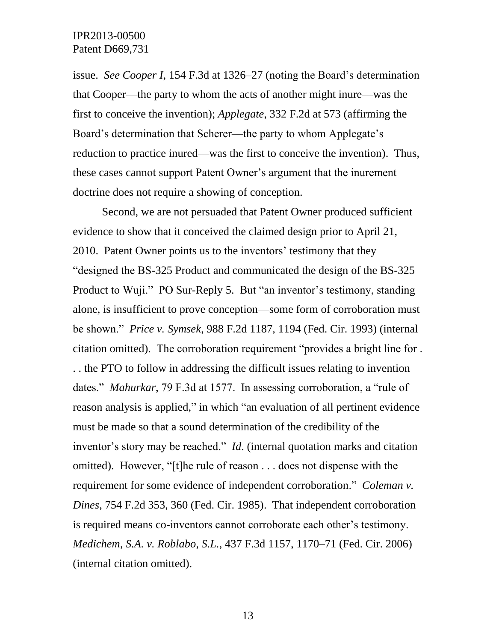issue. *See Cooper I*, 154 F.3d at 1326–27 (noting the Board's determination that Cooper—the party to whom the acts of another might inure—was the first to conceive the invention); *Applegate*, 332 F.2d at 573 (affirming the Board's determination that Scherer—the party to whom Applegate's reduction to practice inured—was the first to conceive the invention). Thus, these cases cannot support Patent Owner's argument that the inurement doctrine does not require a showing of conception.

Second, we are not persuaded that Patent Owner produced sufficient evidence to show that it conceived the claimed design prior to April 21, 2010. Patent Owner points us to the inventors' testimony that they "designed the BS-325 Product and communicated the design of the BS-325 Product to Wuji." PO Sur-Reply 5. But "an inventor's testimony, standing alone, is insufficient to prove conception—some form of corroboration must be shown." *Price v. Symsek*, 988 F.2d 1187, 1194 (Fed. Cir. 1993) (internal citation omitted). The corroboration requirement "provides a bright line for . . . the PTO to follow in addressing the difficult issues relating to invention dates." *Mahurkar*, 79 F.3d at 1577. In assessing corroboration, a "rule of reason analysis is applied," in which "an evaluation of all pertinent evidence must be made so that a sound determination of the credibility of the inventor's story may be reached." *Id*. (internal quotation marks and citation omitted). However, "[t]he rule of reason . . . does not dispense with the requirement for some evidence of independent corroboration." *Coleman v. Dines*, 754 F.2d 353, 360 (Fed. Cir. 1985). That independent corroboration is required means co-inventors cannot corroborate each other's testimony. *Medichem, S.A. v. Roblabo, S.L.*, 437 F.3d 1157, 1170–71 (Fed. Cir. 2006) (internal citation omitted).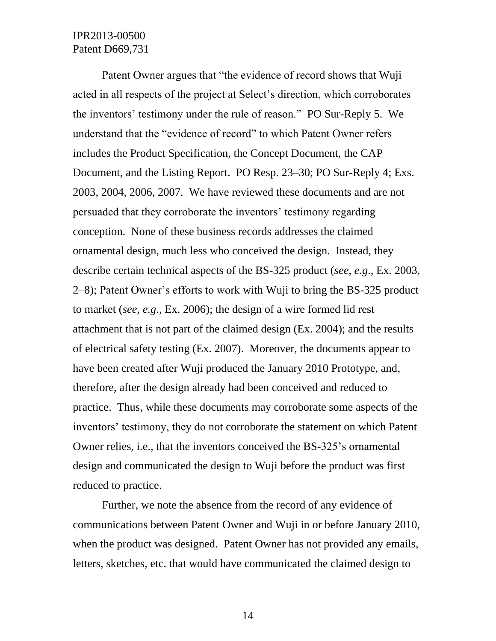Patent Owner argues that "the evidence of record shows that Wuji acted in all respects of the project at Select's direction, which corroborates the inventors' testimony under the rule of reason." PO Sur-Reply 5. We understand that the "evidence of record" to which Patent Owner refers includes the Product Specification, the Concept Document, the CAP Document, and the Listing Report. PO Resp. 23–30; PO Sur-Reply 4; Exs. 2003, 2004, 2006, 2007. We have reviewed these documents and are not persuaded that they corroborate the inventors' testimony regarding conception. None of these business records addresses the claimed ornamental design, much less who conceived the design. Instead, they describe certain technical aspects of the BS-325 product (*see, e.g*., Ex. 2003, 2–8); Patent Owner's efforts to work with Wuji to bring the BS-325 product to market (*see, e.g*., Ex. 2006); the design of a wire formed lid rest attachment that is not part of the claimed design (Ex. 2004); and the results of electrical safety testing (Ex. 2007). Moreover, the documents appear to have been created after Wuji produced the January 2010 Prototype, and, therefore, after the design already had been conceived and reduced to practice. Thus, while these documents may corroborate some aspects of the inventors' testimony, they do not corroborate the statement on which Patent Owner relies, i.e., that the inventors conceived the BS-325's ornamental design and communicated the design to Wuji before the product was first reduced to practice.

Further, we note the absence from the record of any evidence of communications between Patent Owner and Wuji in or before January 2010, when the product was designed. Patent Owner has not provided any emails, letters, sketches, etc. that would have communicated the claimed design to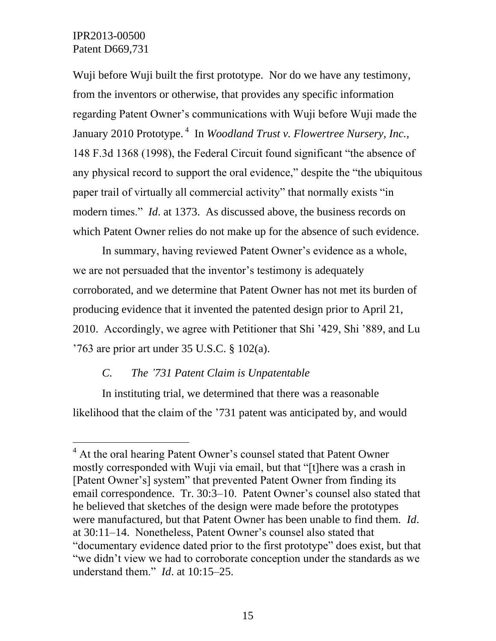$\overline{a}$ 

Wuji before Wuji built the first prototype. Nor do we have any testimony, from the inventors or otherwise, that provides any specific information regarding Patent Owner's communications with Wuji before Wuji made the January 2010 Prototype.<sup>4</sup> In *Woodland Trust v. Flowertree Nursery, Inc.*, 148 F.3d 1368 (1998), the Federal Circuit found significant "the absence of any physical record to support the oral evidence," despite the "the ubiquitous paper trail of virtually all commercial activity" that normally exists "in modern times." *Id*. at 1373. As discussed above, the business records on which Patent Owner relies do not make up for the absence of such evidence.

In summary, having reviewed Patent Owner's evidence as a whole, we are not persuaded that the inventor's testimony is adequately corroborated, and we determine that Patent Owner has not met its burden of producing evidence that it invented the patented design prior to April 21, 2010. Accordingly, we agree with Petitioner that Shi '429, Shi '889, and Lu '763 are prior art under 35 U.S.C. § 102(a).

# *C. The '731 Patent Claim is Unpatentable*

In instituting trial, we determined that there was a reasonable likelihood that the claim of the '731 patent was anticipated by, and would

 $<sup>4</sup>$  At the oral hearing Patent Owner's counsel stated that Patent Owner</sup> mostly corresponded with Wuji via email, but that "[t]here was a crash in [Patent Owner's] system" that prevented Patent Owner from finding its email correspondence. Tr. 30:3–10. Patent Owner's counsel also stated that he believed that sketches of the design were made before the prototypes were manufactured, but that Patent Owner has been unable to find them. *Id*. at 30:11–14. Nonetheless, Patent Owner's counsel also stated that "documentary evidence dated prior to the first prototype" does exist, but that "we didn't view we had to corroborate conception under the standards as we understand them." *Id*. at 10:15–25.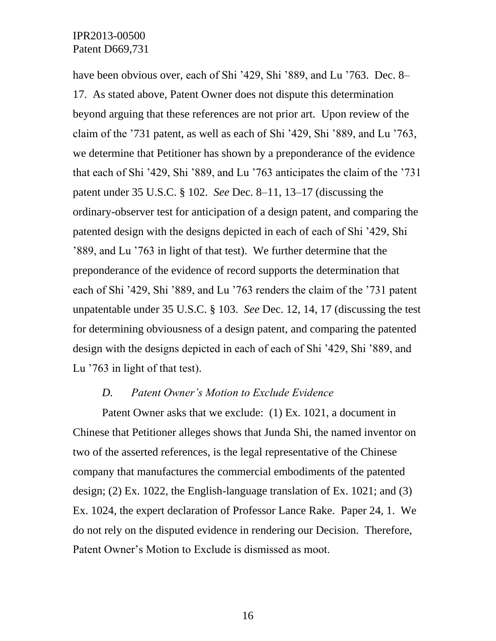have been obvious over, each of Shi '429, Shi '889, and Lu '763. Dec. 8– 17. As stated above, Patent Owner does not dispute this determination beyond arguing that these references are not prior art. Upon review of the claim of the '731 patent, as well as each of Shi '429, Shi '889, and Lu '763, we determine that Petitioner has shown by a preponderance of the evidence that each of Shi '429, Shi '889, and Lu '763 anticipates the claim of the '731 patent under 35 U.S.C. § 102. *See* Dec. 8–11, 13–17 (discussing the ordinary-observer test for anticipation of a design patent, and comparing the patented design with the designs depicted in each of each of Shi '429, Shi '889, and Lu '763 in light of that test). We further determine that the preponderance of the evidence of record supports the determination that each of Shi '429, Shi '889, and Lu '763 renders the claim of the '731 patent unpatentable under 35 U.S.C. § 103. *See* Dec. 12, 14, 17 (discussing the test for determining obviousness of a design patent, and comparing the patented design with the designs depicted in each of each of Shi '429, Shi '889, and Lu '763 in light of that test).

#### *D. Patent Owner's Motion to Exclude Evidence*

Patent Owner asks that we exclude: (1) Ex. 1021, a document in Chinese that Petitioner alleges shows that Junda Shi, the named inventor on two of the asserted references, is the legal representative of the Chinese company that manufactures the commercial embodiments of the patented design; (2) Ex. 1022, the English-language translation of Ex. 1021; and (3) Ex. 1024, the expert declaration of Professor Lance Rake. Paper 24, 1. We do not rely on the disputed evidence in rendering our Decision. Therefore, Patent Owner's Motion to Exclude is dismissed as moot.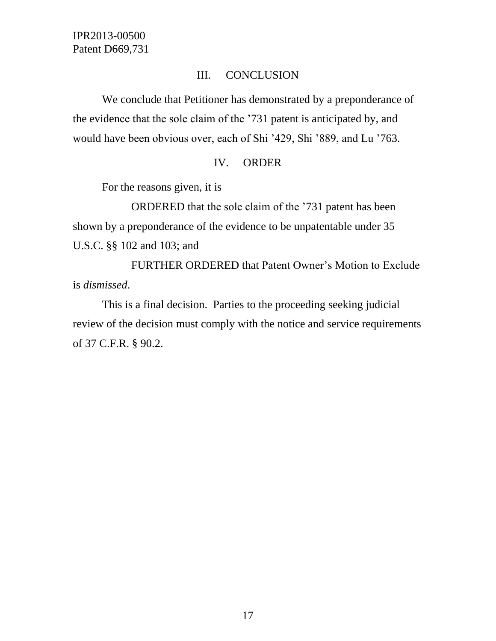# III. CONCLUSION

We conclude that Petitioner has demonstrated by a preponderance of the evidence that the sole claim of the '731 patent is anticipated by, and would have been obvious over, each of Shi '429, Shi '889, and Lu '763.

#### IV. ORDER

For the reasons given, it is

ORDERED that the sole claim of the '731 patent has been shown by a preponderance of the evidence to be unpatentable under 35 U.S.C. §§ 102 and 103; and

FURTHER ORDERED that Patent Owner's Motion to Exclude is *dismissed*.

This is a final decision. Parties to the proceeding seeking judicial review of the decision must comply with the notice and service requirements of 37 C.F.R. § 90.2.